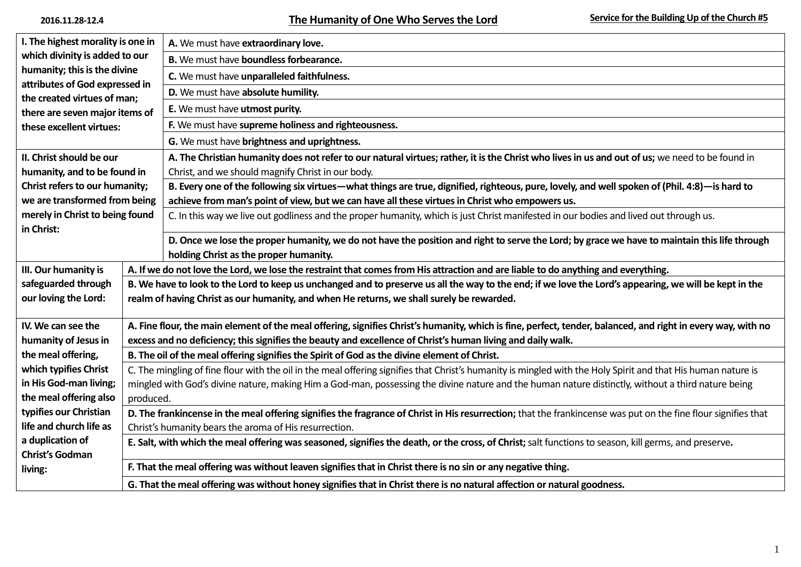| I. The highest morality is one in                              |                                                                                                                                                                | A. We must have extraordinary love.                                                                                                                          |  |                             |
|----------------------------------------------------------------|----------------------------------------------------------------------------------------------------------------------------------------------------------------|--------------------------------------------------------------------------------------------------------------------------------------------------------------|--|-----------------------------|
| which divinity is added to our                                 |                                                                                                                                                                | B. We must have boundless forbearance.                                                                                                                       |  |                             |
| humanity; this is the divine<br>attributes of God expressed in |                                                                                                                                                                | C. We must have unparalleled faithfulness.<br>D. We must have absolute humility.                                                                             |  |                             |
|                                                                |                                                                                                                                                                |                                                                                                                                                              |  | the created virtues of man; |
| there are seven major items of                                 |                                                                                                                                                                |                                                                                                                                                              |  |                             |
| these excellent virtues:                                       |                                                                                                                                                                | F. We must have supreme holiness and righteousness.                                                                                                          |  |                             |
|                                                                |                                                                                                                                                                | G. We must have brightness and uprightness.                                                                                                                  |  |                             |
| II. Christ should be our                                       |                                                                                                                                                                | A. The Christian humanity does not refer to our natural virtues; rather, it is the Christ who lives in us and out of us; we need to be found in              |  |                             |
| humanity, and to be found in                                   |                                                                                                                                                                | Christ, and we should magnify Christ in our body.                                                                                                            |  |                             |
| Christ refers to our humanity;                                 |                                                                                                                                                                | B. Every one of the following six virtues—what things are true, dignified, righteous, pure, lovely, and well spoken of (Phil. 4:8)—is hard to                |  |                             |
| we are transformed from being                                  |                                                                                                                                                                | achieve from man's point of view, but we can have all these virtues in Christ who empowers us.                                                               |  |                             |
| merely in Christ to being found                                |                                                                                                                                                                | C. In this way we live out godliness and the proper humanity, which is just Christ manifested in our bodies and lived out through us.                        |  |                             |
| in Christ:                                                     |                                                                                                                                                                |                                                                                                                                                              |  |                             |
|                                                                |                                                                                                                                                                | D. Once we lose the proper humanity, we do not have the position and right to serve the Lord; by grace we have to maintain this life through                 |  |                             |
| III. Our humanity is                                           | holding Christ as the proper humanity.                                                                                                                         |                                                                                                                                                              |  |                             |
|                                                                |                                                                                                                                                                | A. If we do not love the Lord, we lose the restraint that comes from His attraction and are liable to do anything and everything.                            |  |                             |
| safeguarded through<br>our loving the Lord:                    |                                                                                                                                                                | B. We have to look to the Lord to keep us unchanged and to preserve us all the way to the end; if we love the Lord's appearing, we will be kept in the       |  |                             |
|                                                                | realm of having Christ as our humanity, and when He returns, we shall surely be rewarded.                                                                      |                                                                                                                                                              |  |                             |
| IV. We can see the                                             |                                                                                                                                                                | A. Fine flour, the main element of the meal offering, signifies Christ's humanity, which is fine, perfect, tender, balanced, and right in every way, with no |  |                             |
| humanity of Jesus in                                           |                                                                                                                                                                | excess and no deficiency; this signifies the beauty and excellence of Christ's human living and daily walk.                                                  |  |                             |
| the meal offering,                                             | B. The oil of the meal offering signifies the Spirit of God as the divine element of Christ.                                                                   |                                                                                                                                                              |  |                             |
| which typifies Christ                                          | C. The mingling of fine flour with the oil in the meal offering signifies that Christ's humanity is mingled with the Holy Spirit and that His human nature is  |                                                                                                                                                              |  |                             |
| in His God-man living;                                         | mingled with God's divine nature, making Him a God-man, possessing the divine nature and the human nature distinctly, without a third nature being             |                                                                                                                                                              |  |                             |
| the meal offering also                                         | produced.                                                                                                                                                      |                                                                                                                                                              |  |                             |
| typifies our Christian                                         | D. The frankincense in the meal offering signifies the fragrance of Christ in His resurrection; that the frankincense was put on the fine flour signifies that |                                                                                                                                                              |  |                             |
| life and church life as                                        | Christ's humanity bears the aroma of His resurrection.                                                                                                         |                                                                                                                                                              |  |                             |
| a duplication of                                               | E. Salt, with which the meal offering was seasoned, signifies the death, or the cross, of Christ; salt functions to season, kill germs, and preserve.          |                                                                                                                                                              |  |                             |
| <b>Christ's Godman</b>                                         |                                                                                                                                                                |                                                                                                                                                              |  |                             |
| living:                                                        | F. That the meal offering was without leaven signifies that in Christ there is no sin or any negative thing.                                                   |                                                                                                                                                              |  |                             |
|                                                                |                                                                                                                                                                |                                                                                                                                                              |  |                             |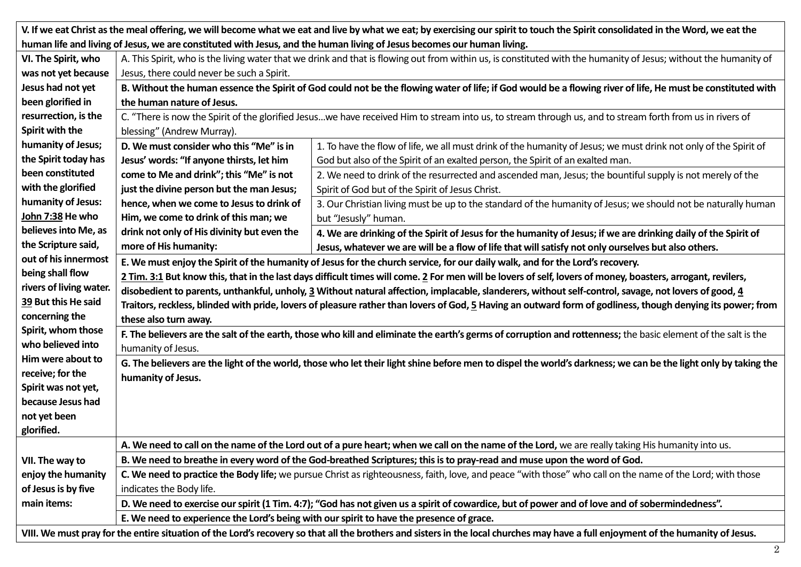| V. If we eat Christ as the meal offering, we will become what we eat and live by what we eat; by exercising our spirit to touch the Spirit consolidated in the Word, we eat the   |                                                                                                                                                                  |                                                                                                                  |  |  |
|-----------------------------------------------------------------------------------------------------------------------------------------------------------------------------------|------------------------------------------------------------------------------------------------------------------------------------------------------------------|------------------------------------------------------------------------------------------------------------------|--|--|
| human life and living of Jesus, we are constituted with Jesus, and the human living of Jesus becomes our human living.                                                            |                                                                                                                                                                  |                                                                                                                  |  |  |
| VI. The Spirit, who                                                                                                                                                               | A. This Spirit, who is the living water that we drink and that is flowing out from within us, is constituted with the humanity of Jesus; without the humanity of |                                                                                                                  |  |  |
| was not yet because                                                                                                                                                               | Jesus, there could never be such a Spirit.                                                                                                                       |                                                                                                                  |  |  |
| Jesus had not yet                                                                                                                                                                 | B. Without the human essence the Spirit of God could not be the flowing water of life; if God would be a flowing river of life, He must be constituted with      |                                                                                                                  |  |  |
| been glorified in                                                                                                                                                                 | the human nature of Jesus.                                                                                                                                       |                                                                                                                  |  |  |
| resurrection, is the                                                                                                                                                              | C. "There is now the Spirit of the glorified Jesuswe have received Him to stream into us, to stream through us, and to stream forth from us in rivers of         |                                                                                                                  |  |  |
| Spirit with the                                                                                                                                                                   | blessing" (Andrew Murray).                                                                                                                                       |                                                                                                                  |  |  |
| humanity of Jesus;                                                                                                                                                                | D. We must consider who this "Me" is in                                                                                                                          | 1. To have the flow of life, we all must drink of the humanity of Jesus; we must drink not only of the Spirit of |  |  |
| the Spirit today has                                                                                                                                                              | Jesus' words: "If anyone thirsts, let him                                                                                                                        | God but also of the Spirit of an exalted person, the Spirit of an exalted man.                                   |  |  |
| been constituted                                                                                                                                                                  | come to Me and drink"; this "Me" is not                                                                                                                          | 2. We need to drink of the resurrected and ascended man, Jesus; the bountiful supply is not merely of the        |  |  |
| with the glorified                                                                                                                                                                | just the divine person but the man Jesus;                                                                                                                        | Spirit of God but of the Spirit of Jesus Christ.                                                                 |  |  |
| humanity of Jesus:                                                                                                                                                                | hence, when we come to Jesus to drink of                                                                                                                         | 3. Our Christian living must be up to the standard of the humanity of Jesus; we should not be naturally human    |  |  |
| John 7:38 He who                                                                                                                                                                  | Him, we come to drink of this man; we                                                                                                                            | but "Jesusly" human.                                                                                             |  |  |
| believes into Me, as                                                                                                                                                              | drink not only of His divinity but even the                                                                                                                      | 4. We are drinking of the Spirit of Jesus for the humanity of Jesus; if we are drinking daily of the Spirit of   |  |  |
| the Scripture said,                                                                                                                                                               | more of His humanity:                                                                                                                                            | Jesus, whatever we are will be a flow of life that will satisfy not only ourselves but also others.              |  |  |
| out of his innermost                                                                                                                                                              | E. We must enjoy the Spirit of the humanity of Jesus for the church service, for our daily walk, and for the Lord's recovery.                                    |                                                                                                                  |  |  |
| being shall flow                                                                                                                                                                  | 2 Tim. 3:1 But know this, that in the last days difficult times will come. 2 For men will be lovers of self, lovers of money, boasters, arrogant, revilers,      |                                                                                                                  |  |  |
| rivers of living water.                                                                                                                                                           | disobedient to parents, unthankful, unholy, 3 Without natural affection, implacable, slanderers, without self-control, savage, not lovers of good, 4             |                                                                                                                  |  |  |
| 39 But this He said                                                                                                                                                               | Traitors, reckless, blinded with pride, lovers of pleasure rather than lovers of God, 5 Having an outward form of godliness, though denying its power; from      |                                                                                                                  |  |  |
| concerning the                                                                                                                                                                    | these also turn away.                                                                                                                                            |                                                                                                                  |  |  |
| Spirit, whom those                                                                                                                                                                | F. The believers are the salt of the earth, those who kill and eliminate the earth's germs of corruption and rottenness; the basic element of the salt is the    |                                                                                                                  |  |  |
| who believed into                                                                                                                                                                 | humanity of Jesus.                                                                                                                                               |                                                                                                                  |  |  |
| Him were about to                                                                                                                                                                 | G. The believers are the light of the world, those who let their light shine before men to dispel the world's darkness; we can be the light only by taking the   |                                                                                                                  |  |  |
| receive; for the                                                                                                                                                                  | humanity of Jesus.                                                                                                                                               |                                                                                                                  |  |  |
| Spirit was not yet,                                                                                                                                                               |                                                                                                                                                                  |                                                                                                                  |  |  |
| because Jesus had                                                                                                                                                                 |                                                                                                                                                                  |                                                                                                                  |  |  |
| not yet been                                                                                                                                                                      |                                                                                                                                                                  |                                                                                                                  |  |  |
| glorified.                                                                                                                                                                        |                                                                                                                                                                  |                                                                                                                  |  |  |
|                                                                                                                                                                                   | A. We need to call on the name of the Lord out of a pure heart; when we call on the name of the Lord, we are really taking His humanity into us.                 |                                                                                                                  |  |  |
| VII. The way to                                                                                                                                                                   | B. We need to breathe in every word of the God-breathed Scriptures; this is to pray-read and muse upon the word of God.                                          |                                                                                                                  |  |  |
| enjoy the humanity                                                                                                                                                                | C. We need to practice the Body life; we pursue Christ as righteousness, faith, love, and peace "with those" who call on the name of the Lord; with those        |                                                                                                                  |  |  |
| of Jesus is by five                                                                                                                                                               | indicates the Body life.                                                                                                                                         |                                                                                                                  |  |  |
| main items:                                                                                                                                                                       | D. We need to exercise our spirit (1 Tim. 4:7); "God has not given us a spirit of cowardice, but of power and of love and of sobermindedness".                   |                                                                                                                  |  |  |
|                                                                                                                                                                                   | E. We need to experience the Lord's being with our spirit to have the presence of grace.                                                                         |                                                                                                                  |  |  |
| VIII. We must pray for the entire situation of the Lord's recovery so that all the brothers and sisters in the local churches may have a full enjoyment of the humanity of Jesus. |                                                                                                                                                                  |                                                                                                                  |  |  |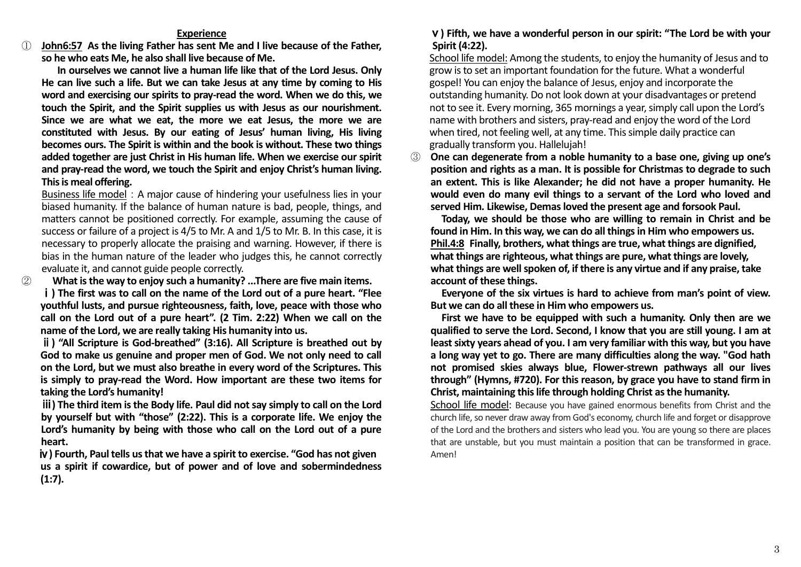## **Experience**

① **John6:57 As the living Father has sent Me and I live because of the Father, so he who eats Me, he also shall live because of Me.**

**In ourselves we cannot live a human life like that of the Lord Jesus. Only He can live such a life. But we can take Jesus at any time by coming to His word and exercising our spirits to pray-read the word. When we do this, we touch the Spirit, and the Spirit supplies us with Jesus as our nourishment. Since we are what we eat, the more we eat Jesus, the more we are constituted with Jesus. By our eating of Jesus' human living, His living becomes ours. The Spirit is within and the book is without. These two things added together are just Christ in His human life. When we exercise our spirit and pray-read the word, we touch the Spirit and enjoy Christ's human living. This is meal offering.**

Business life model: A major cause of hindering your usefulness lies in your biased humanity. If the balance of human nature is bad, people, things, and matters cannot be positioned correctly. For example, assuming the cause of success or failure of a project is 4/5 to Mr. A and 1/5 to Mr. B. In this case, it is necessary to properly allocate the praising and warning. However, if there is bias in the human nature of the leader who judges this, he cannot correctly evaluate it, and cannot guide people correctly.

② **What is the way to enjoy such a humanity? ...There are five main items.**

ⅰ**) The first was to call on the name of the Lord out of a pure heart. "Flee youthful lusts, and pursue righteousness, faith, love, peace with those who call on the Lord out of a pure heart". (2 Tim. 2:22) When we call on the name of the Lord, we are really taking His humanity into us.** 

ⅱ**) "All Scripture is God-breathed" (3:16). All Scripture is breathed out by God to make us genuine and proper men of God. We not only need to call on the Lord, but we must also breathe in every word of the Scriptures. This is simply to pray-read the Word. How important are these two items for taking the Lord's humanity!**

ⅲ**) The third item is the Body life. Paul did not say simply to call on the Lord by yourself but with "those" (2:22). This is a corporate life. We enjoy the Lord's humanity by being with those who call on the Lord out of a pure heart.** 

ⅳ**) Fourth, Paul tells us that we have a spirit to exercise. "God has not given us a spirit if cowardice, but of power and of love and sobermindedness (1:7).**

## ⅴ**) Fifth, we have a wonderful person in our spirit: "The Lord be with your Spirit (4:22).**

School life model: Among the students, to enjoy the humanity of Jesus and to grow is to set an important foundation for the future. What a wonderful gospel! You can enjoy the balance of Jesus, enjoy and incorporate the outstanding humanity. Do not look down at your disadvantages or pretend not to see it. Every morning, 365 mornings a year, simply call upon the Lord's name with brothers and sisters, pray-read and enjoy the word of the Lord when tired, not feeling well, at any time. This simple daily practice can gradually transform you. Hallelujah!

③ **One can degenerate from a noble humanity to a base one, giving up one's position and rights as a man. It is possible for Christmas to degrade to such an extent. This is like Alexander; he did not have a proper humanity. He would even do many evil things to a servant of the Lord who loved and served Him. Likewise, Demas loved the present age and forsook Paul.** 

 **Today, we should be those who are willing to remain in Christ and be found in Him. In this way, we can do all things in Him who empowers us. Phil.4:8 Finally, brothers, what things are true, what things are dignified, what things are righteous, what things are pure, what things are lovely, what things are well spoken of, if there is any virtue and if any praise, take account of these things.**

**Everyone of the six virtues is hard to achieve from man's point of view. But we can do all these in Him who empowers us.**

**First we have to be equipped with such a humanity. Only then are we qualified to serve the Lord. Second, I know that you are still young. I am at least sixty years ahead of you. I am very familiar with this way, but you have a long way yet to go. There are many difficulties along the way. "God hath not promised skies always blue, Flower-strewn pathways all our lives through" (Hymns, #720). For this reason, by grace you have to stand firm in Christ, maintaining this life through holding Christ as the humanity.**

School life model: Because you have gained enormous benefits from Christ and the church life, so never draw away from God's economy, church life and forget or disapprove of the Lord and the brothers and sisters who lead you. You are young so there are places that are unstable, but you must maintain a position that can be transformed in grace. Amen!